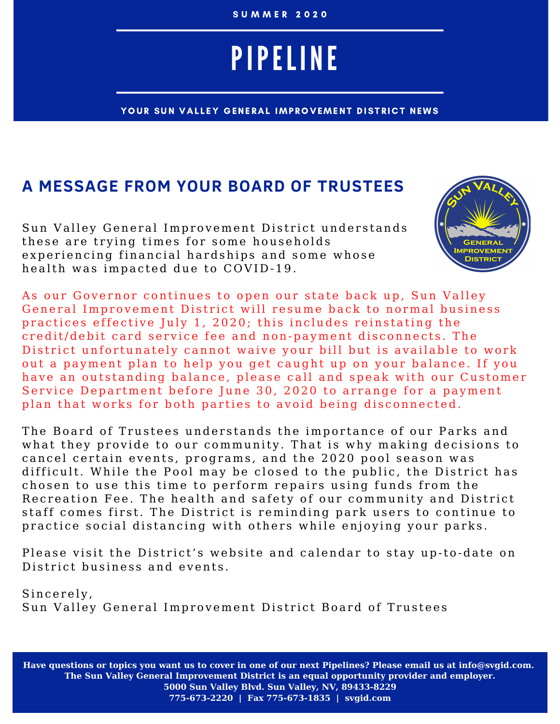#### S U M M E R 2 0 2 0

# PIPELINE

YOUR SUN VALLEY GENERAL IMPROVEMENT DISTRICT NEWS

#### **A MESSAGE FROM YOUR BOARD OF TRUSTEES**

Sun Valley General Improvement District understands these are trying times for some households experiencing financial hardships and some whose health was impacted due to COVID-19.



As our Governor continues to open our state back up, Sun Valley General Improvement District will resume back to normal business practices effective July 1, 2020; this includes reinstating the credit/debit card service fee and non-payment disconnects. The District unfortunately cannot waive your bill but is available to work out a payment plan to help you get caught up on your balance. If you have an outstanding balance, please call and speak with our Customer Service Department before June 30, 2020 to arrange for a payment plan that works for both parties to avoid being disconnected.

The Board of Trustees understands the importance of our Parks and what they provide to our community. That is why making decisions to cancel certain events, programs, and the 2020 pool season was difficult. While the Pool may be closed to the public, the District has chosen to use this time to perform repairs using funds from the Recreation Fee. The health and safety of our community and District staff comes first. The District is reminding park users to continue to practice social distancing with others while enjoying your parks.

Please visit the District's website and calendar to stay up-to-date on District business and events.

Sincerely, Sun Valley General Improvement District Board of Trustees

**Have questions or topics you want us to cover in one of our next Pipelines? Please email us at info@svgid.com. The Sun Valley General Improvement District is an equal opportunity provider and employer. 5000 Sun Valley Blvd. Sun Valley, NV, 89433-8229 775-673-2220 | Fax 775-673-1835 | svgid.com**